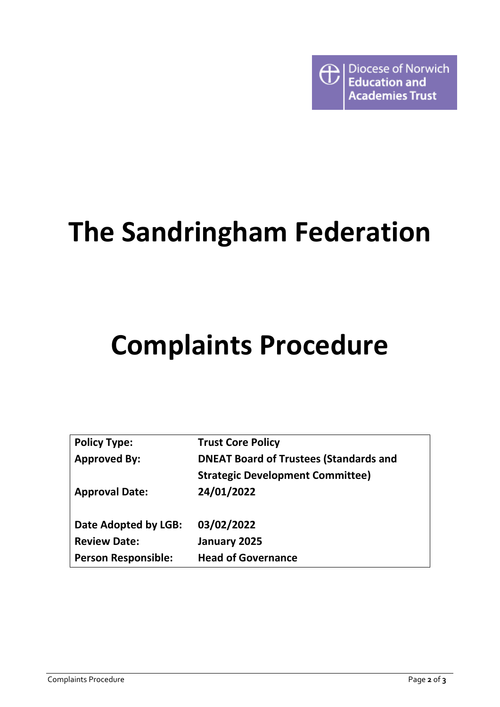

# **The Sandringham Federation**

# **Complaints Procedure**

| <b>Policy Type:</b>        | <b>Trust Core Policy</b>                      |
|----------------------------|-----------------------------------------------|
| <b>Approved By:</b>        | <b>DNEAT Board of Trustees (Standards and</b> |
|                            | <b>Strategic Development Committee)</b>       |
| <b>Approval Date:</b>      | 24/01/2022                                    |
|                            |                                               |
| Date Adopted by LGB:       | 03/02/2022                                    |
| <b>Review Date:</b>        | January 2025                                  |
| <b>Person Responsible:</b> | <b>Head of Governance</b>                     |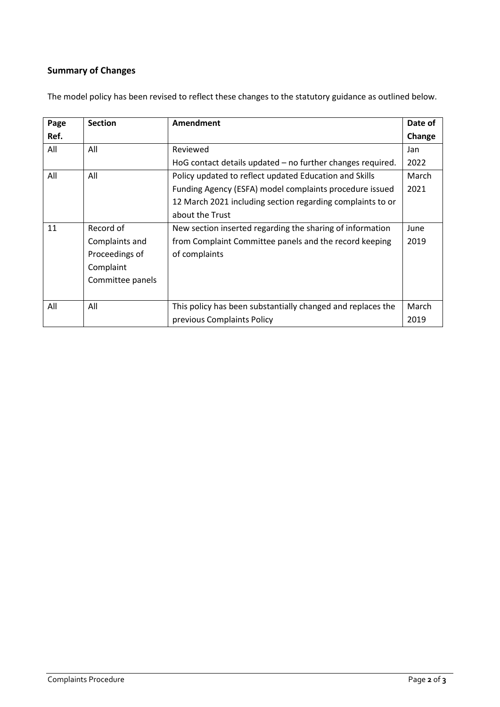# **Summary of Changes**

| Page | <b>Section</b>   | Amendment                                                   | Date of |
|------|------------------|-------------------------------------------------------------|---------|
| Ref. |                  |                                                             | Change  |
| All  | All              | Reviewed                                                    | Jan     |
|      |                  | HoG contact details updated - no further changes required.  | 2022    |
| All  | All              | Policy updated to reflect updated Education and Skills      |         |
|      |                  | Funding Agency (ESFA) model complaints procedure issued     | 2021    |
|      |                  | 12 March 2021 including section regarding complaints to or  |         |
|      |                  | about the Trust                                             |         |
| 11   | Record of        | New section inserted regarding the sharing of information   | June    |
|      | Complaints and   | from Complaint Committee panels and the record keeping      | 2019    |
|      | Proceedings of   | of complaints                                               |         |
|      | Complaint        |                                                             |         |
|      | Committee panels |                                                             |         |
|      |                  |                                                             |         |
| All  | All              | This policy has been substantially changed and replaces the | March   |
|      |                  | previous Complaints Policy                                  | 2019    |

The model policy has been revised to reflect these changes to the statutory guidance as outlined below.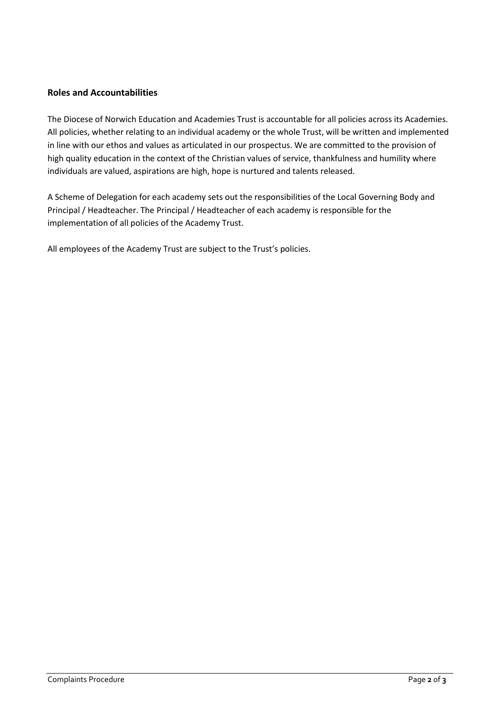#### **Roles and Accountabilities**

The Diocese of Norwich Education and Academies Trust is accountable for all policies across its Academies. All policies, whether relating to an individual academy or the whole Trust, will be written and implemented in line with our ethos and values as articulated in our prospectus. We are committed to the provision of high quality education in the context of the Christian values of service, thankfulness and humility where individuals are valued, aspirations are high, hope is nurtured and talents released.

A Scheme of Delegation for each academy sets out the responsibilities of the Local Governing Body and Principal / Headteacher. The Principal / Headteacher of each academy is responsible for the implementation of all policies of the Academy Trust.

All employees of the Academy Trust are subject to the Trust's policies.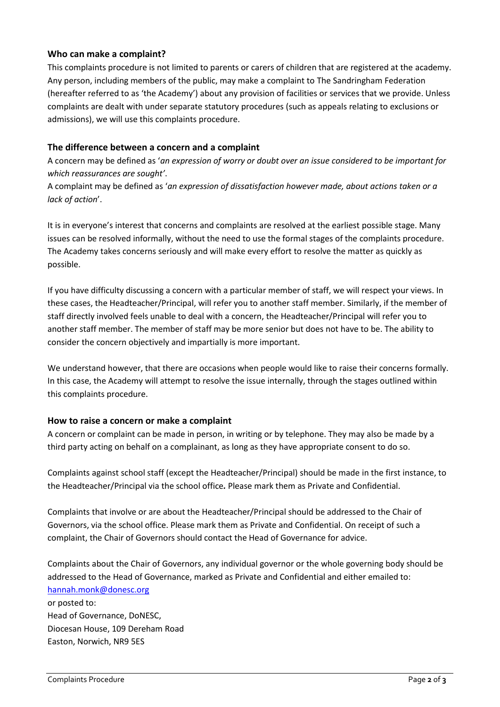#### **Who can make a complaint?**

This complaints procedure is not limited to parents or carers of children that are registered at the academy. Any person, including members of the public, may make a complaint to The Sandringham Federation (hereafter referred to as 'the Academy') about any provision of facilities or services that we provide. Unless complaints are dealt with under separate statutory procedures (such as appeals relating to exclusions or admissions), we will use this complaints procedure.

#### **The difference between a concern and a complaint**

A concern may be defined as '*an expression of worry or doubt over an issue considered to be important for which reassurances are sought'*.

A complaint may be defined as '*an expression of dissatisfaction however made, about actions taken or a lack of action*'.

It is in everyone's interest that concerns and complaints are resolved at the earliest possible stage. Many issues can be resolved informally, without the need to use the formal stages of the complaints procedure. The Academy takes concerns seriously and will make every effort to resolve the matter as quickly as possible.

If you have difficulty discussing a concern with a particular member of staff, we will respect your views. In these cases, the Headteacher/Principal, will refer you to another staff member. Similarly, if the member of staff directly involved feels unable to deal with a concern, the Headteacher/Principal will refer you to another staff member. The member of staff may be more senior but does not have to be. The ability to consider the concern objectively and impartially is more important.

We understand however, that there are occasions when people would like to raise their concerns formally. In this case, the Academy will attempt to resolve the issue internally, through the stages outlined within this complaints procedure.

#### **How to raise a concern or make a complaint**

A concern or complaint can be made in person, in writing or by telephone. They may also be made by a third party acting on behalf on a complainant, as long as they have appropriate consent to do so.

Complaints against school staff (except the Headteacher/Principal) should be made in the first instance, to the Headteacher/Principal via the school office*.* Please mark them as Private and Confidential.

Complaints that involve or are about the Headteacher/Principal should be addressed to the Chair of Governors, via the school office. Please mark them as Private and Confidential. On receipt of such a complaint, the Chair of Governors should contact the Head of Governance for advice.

Complaints about the Chair of Governors, any individual governor or the whole governing body should be addressed to the Head of Governance, marked as Private and Confidential and either emailed to: [hannah.monk@donesc.org](about:blank)

or posted to: Head of Governance, DoNESC, Diocesan House, 109 Dereham Road Easton, Norwich, NR9 5ES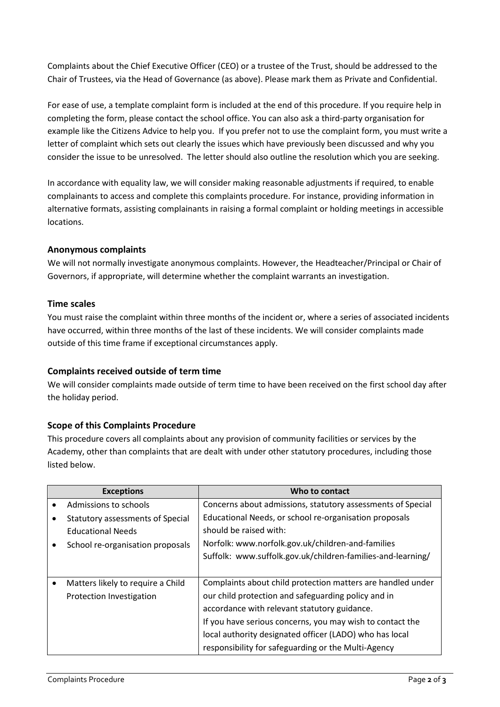Complaints about the Chief Executive Officer (CEO) or a trustee of the Trust, should be addressed to the Chair of Trustees, via the Head of Governance (as above). Please mark them as Private and Confidential.

For ease of use, a template complaint form is included at the end of this procedure. If you require help in completing the form, please contact the school office. You can also ask a third-party organisation for example like the Citizens Advice to help you. If you prefer not to use the complaint form, you must write a letter of complaint which sets out clearly the issues which have previously been discussed and why you consider the issue to be unresolved. The letter should also outline the resolution which you are seeking.

In accordance with equality law, we will consider making reasonable adjustments if required, to enable complainants to access and complete this complaints procedure. For instance, providing information in alternative formats, assisting complainants in raising a formal complaint or holding meetings in accessible locations.

#### **Anonymous complaints**

We will not normally investigate anonymous complaints. However, the Headteacher/Principal or Chair of Governors, if appropriate, will determine whether the complaint warrants an investigation.

#### **Time scales**

You must raise the complaint within three months of the incident or, where a series of associated incidents have occurred, within three months of the last of these incidents. We will consider complaints made outside of this time frame if exceptional circumstances apply.

# **Complaints received outside of term time**

We will consider complaints made outside of term time to have been received on the first school day after the holiday period.

# **Scope of this Complaints Procedure**

This procedure covers all complaints about any provision of community facilities or services by the Academy, other than complaints that are dealt with under other statutory procedures, including those listed below.

| <b>Exceptions</b>                 | Who to contact                                              |
|-----------------------------------|-------------------------------------------------------------|
| Admissions to schools             | Concerns about admissions, statutory assessments of Special |
| Statutory assessments of Special  | Educational Needs, or school re-organisation proposals      |
| <b>Educational Needs</b>          | should be raised with:                                      |
| School re-organisation proposals  | Norfolk: www.norfolk.gov.uk/children-and-families           |
|                                   | Suffolk: www.suffolk.gov.uk/children-families-and-learning/ |
|                                   |                                                             |
| Matters likely to require a Child | Complaints about child protection matters are handled under |
| Protection Investigation          | our child protection and safeguarding policy and in         |
|                                   | accordance with relevant statutory guidance.                |
|                                   | If you have serious concerns, you may wish to contact the   |
|                                   | local authority designated officer (LADO) who has local     |
|                                   | responsibility for safeguarding or the Multi-Agency         |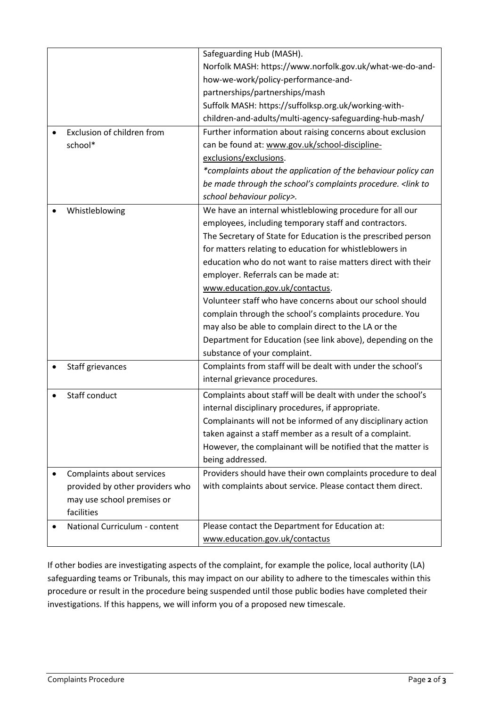|                                 | Safeguarding Hub (MASH).                                                |
|---------------------------------|-------------------------------------------------------------------------|
|                                 | Norfolk MASH: https://www.norfolk.gov.uk/what-we-do-and-                |
|                                 | how-we-work/policy-performance-and-                                     |
|                                 | partnerships/partnerships/mash                                          |
|                                 | Suffolk MASH: https://suffolksp.org.uk/working-with-                    |
|                                 | children-and-adults/multi-agency-safeguarding-hub-mash/                 |
| Exclusion of children from      | Further information about raising concerns about exclusion              |
| school*                         | can be found at: www.gov.uk/school-discipline-                          |
|                                 | exclusions/exclusions.                                                  |
|                                 | *complaints about the application of the behaviour policy can           |
|                                 | be made through the school's complaints procedure. <link th="" to<=""/> |
|                                 | school behaviour policy>.                                               |
| Whistleblowing                  | We have an internal whistleblowing procedure for all our                |
|                                 | employees, including temporary staff and contractors.                   |
|                                 | The Secretary of State for Education is the prescribed person           |
|                                 | for matters relating to education for whistleblowers in                 |
|                                 | education who do not want to raise matters direct with their            |
|                                 | employer. Referrals can be made at:                                     |
|                                 | www.education.gov.uk/contactus.                                         |
|                                 | Volunteer staff who have concerns about our school should               |
|                                 | complain through the school's complaints procedure. You                 |
|                                 | may also be able to complain direct to the LA or the                    |
|                                 | Department for Education (see link above), depending on the             |
|                                 | substance of your complaint.                                            |
| Staff grievances                | Complaints from staff will be dealt with under the school's             |
|                                 | internal grievance procedures.                                          |
| Staff conduct                   | Complaints about staff will be dealt with under the school's            |
|                                 | internal disciplinary procedures, if appropriate.                       |
|                                 | Complainants will not be informed of any disciplinary action            |
|                                 | taken against a staff member as a result of a complaint.                |
|                                 | However, the complainant will be notified that the matter is            |
|                                 | being addressed.                                                        |
| Complaints about services       | Providers should have their own complaints procedure to deal            |
| provided by other providers who | with complaints about service. Please contact them direct.              |
| may use school premises or      |                                                                         |
| facilities                      |                                                                         |
| National Curriculum - content   | Please contact the Department for Education at:                         |
|                                 | www.education.gov.uk/contactus                                          |

If other bodies are investigating aspects of the complaint, for example the police, local authority (LA) safeguarding teams or Tribunals, this may impact on our ability to adhere to the timescales within this procedure or result in the procedure being suspended until those public bodies have completed their investigations. If this happens, we will inform you of a proposed new timescale.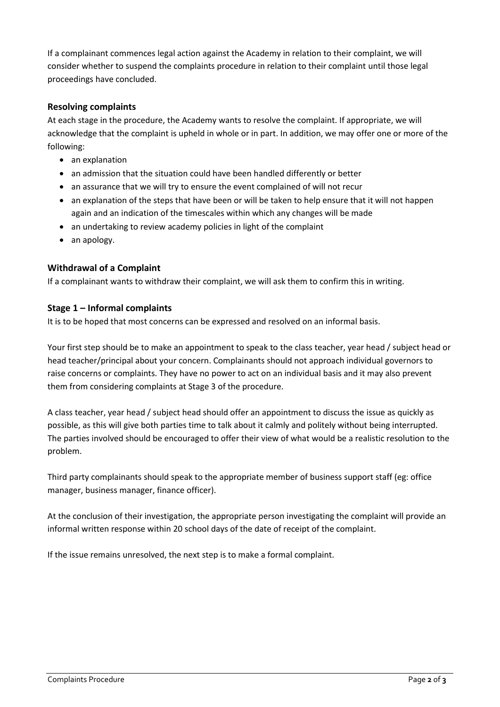If a complainant commences legal action against the Academy in relation to their complaint, we will consider whether to suspend the complaints procedure in relation to their complaint until those legal proceedings have concluded.

#### **Resolving complaints**

At each stage in the procedure, the Academy wants to resolve the complaint. If appropriate, we will acknowledge that the complaint is upheld in whole or in part. In addition, we may offer one or more of the following:

- an explanation
- an admission that the situation could have been handled differently or better
- an assurance that we will try to ensure the event complained of will not recur
- an explanation of the steps that have been or will be taken to help ensure that it will not happen again and an indication of the timescales within which any changes will be made
- an undertaking to review academy policies in light of the complaint
- an apology.

#### **Withdrawal of a Complaint**

If a complainant wants to withdraw their complaint, we will ask them to confirm this in writing.

#### **Stage 1 – Informal complaints**

It is to be hoped that most concerns can be expressed and resolved on an informal basis.

Your first step should be to make an appointment to speak to the class teacher, year head / subject head or head teacher/principal about your concern. Complainants should not approach individual governors to raise concerns or complaints. They have no power to act on an individual basis and it may also prevent them from considering complaints at Stage 3 of the procedure.

A class teacher, year head / subject head should offer an appointment to discuss the issue as quickly as possible, as this will give both parties time to talk about it calmly and politely without being interrupted. The parties involved should be encouraged to offer their view of what would be a realistic resolution to the problem.

Third party complainants should speak to the appropriate member of business support staff (eg: office manager, business manager, finance officer).

At the conclusion of their investigation, the appropriate person investigating the complaint will provide an informal written response within 20 school days of the date of receipt of the complaint.

If the issue remains unresolved, the next step is to make a formal complaint.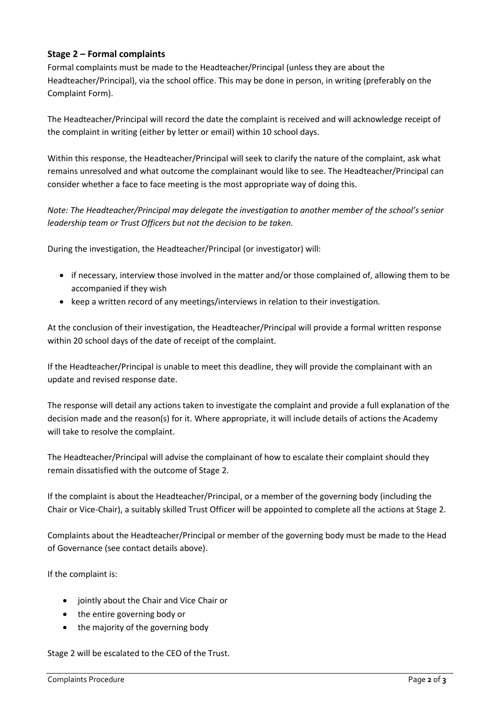### **Stage 2 – Formal complaints**

Formal complaints must be made to the Headteacher/Principal (unless they are about the Headteacher/Principal), via the school office. This may be done in person, in writing (preferably on the Complaint Form).

The Headteacher/Principal will record the date the complaint is received and will acknowledge receipt of the complaint in writing (either by letter or email) within 10 school days.

Within this response, the Headteacher/Principal will seek to clarify the nature of the complaint, ask what remains unresolved and what outcome the complainant would like to see. The Headteacher/Principal can consider whether a face to face meeting is the most appropriate way of doing this.

*Note: The Headteacher/Principal may delegate the investigation to another member of the school's senior leadership team or Trust Officers but not the decision to be taken.*

During the investigation, the Headteacher/Principal (or investigator) will:

- if necessary, interview those involved in the matter and/or those complained of, allowing them to be accompanied if they wish
- keep a written record of any meetings/interviews in relation to their investigation.

At the conclusion of their investigation, the Headteacher/Principal will provide a formal written response within 20 school days of the date of receipt of the complaint.

If the Headteacher/Principal is unable to meet this deadline, they will provide the complainant with an update and revised response date.

The response will detail any actions taken to investigate the complaint and provide a full explanation of the decision made and the reason(s) for it. Where appropriate, it will include details of actions the Academy will take to resolve the complaint.

The Headteacher/Principal will advise the complainant of how to escalate their complaint should they remain dissatisfied with the outcome of Stage 2.

If the complaint is about the Headteacher/Principal, or a member of the governing body (including the Chair or Vice-Chair), a suitably skilled Trust Officer will be appointed to complete all the actions at Stage 2.

Complaints about the Headteacher/Principal or member of the governing body must be made to the Head of Governance (see contact details above).

If the complaint is:

- jointly about the Chair and Vice Chair or
- the entire governing body or
- the majority of the governing body

Stage 2 will be escalated to the CEO of the Trust.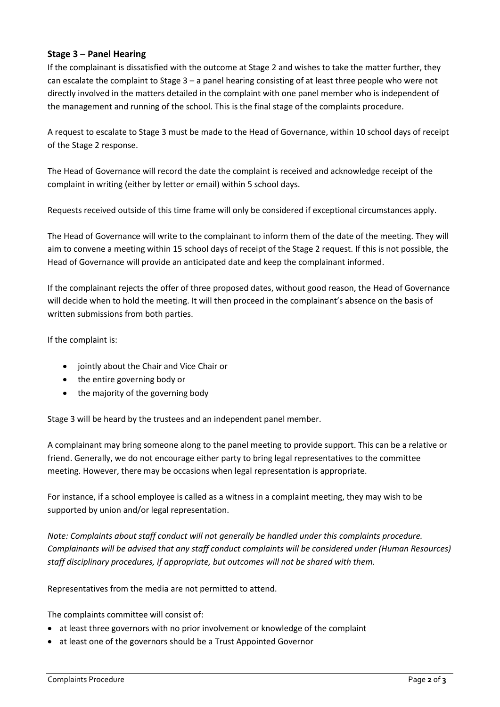#### **Stage 3 – Panel Hearing**

If the complainant is dissatisfied with the outcome at Stage 2 and wishes to take the matter further, they can escalate the complaint to Stage  $3 - a$  panel hearing consisting of at least three people who were not directly involved in the matters detailed in the complaint with one panel member who is independent of the management and running of the school. This is the final stage of the complaints procedure.

A request to escalate to Stage 3 must be made to the Head of Governance, within 10 school days of receipt of the Stage 2 response.

The Head of Governance will record the date the complaint is received and acknowledge receipt of the complaint in writing (either by letter or email) within 5 school days.

Requests received outside of this time frame will only be considered if exceptional circumstances apply.

The Head of Governance will write to the complainant to inform them of the date of the meeting. They will aim to convene a meeting within 15 school days of receipt of the Stage 2 request. If this is not possible, the Head of Governance will provide an anticipated date and keep the complainant informed.

If the complainant rejects the offer of three proposed dates, without good reason, the Head of Governance will decide when to hold the meeting. It will then proceed in the complainant's absence on the basis of written submissions from both parties.

If the complaint is:

- jointly about the Chair and Vice Chair or
- the entire governing body or
- the majority of the governing body

Stage 3 will be heard by the trustees and an independent panel member.

A complainant may bring someone along to the panel meeting to provide support. This can be a relative or friend. Generally, we do not encourage either party to bring legal representatives to the committee meeting. However, there may be occasions when legal representation is appropriate.

For instance, if a school employee is called as a witness in a complaint meeting, they may wish to be supported by union and/or legal representation.

*Note: Complaints about staff conduct will not generally be handled under this complaints procedure. Complainants will be advised that any staff conduct complaints will be considered under (Human Resources) staff disciplinary procedures, if appropriate, but outcomes will not be shared with them.* 

Representatives from the media are not permitted to attend.

The complaints committee will consist of:

- at least three governors with no prior involvement or knowledge of the complaint
- at least one of the governors should be a Trust Appointed Governor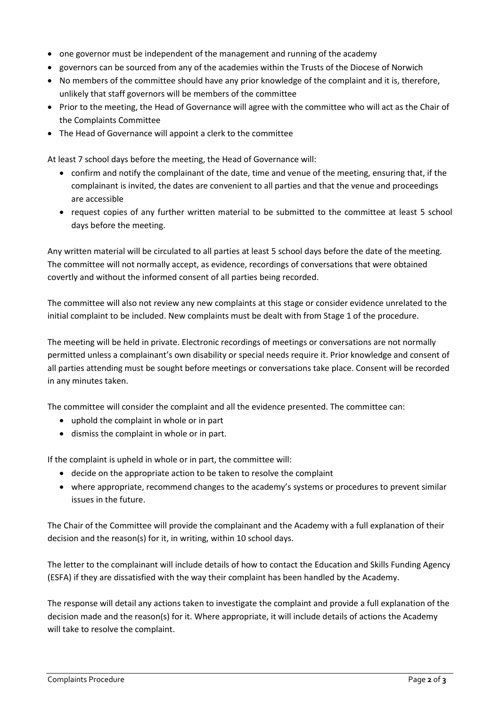- one governor must be independent of the management and running of the academy
- governors can be sourced from any of the academies within the Trusts of the Diocese of Norwich
- No members of the committee should have any prior knowledge of the complaint and it is, therefore, unlikely that staff governors will be members of the committee
- Prior to the meeting, the Head of Governance will agree with the committee who will act as the Chair of the Complaints Committee
- The Head of Governance will appoint a clerk to the committee

At least 7 school days before the meeting, the Head of Governance will:

- confirm and notify the complainant of the date, time and venue of the meeting, ensuring that, if the complainant is invited, the dates are convenient to all parties and that the venue and proceedings are accessible
- request copies of any further written material to be submitted to the committee at least 5 school days before the meeting.

Any written material will be circulated to all parties at least 5 school days before the date of the meeting. The committee will not normally accept, as evidence, recordings of conversations that were obtained covertly and without the informed consent of all parties being recorded.

The committee will also not review any new complaints at this stage or consider evidence unrelated to the initial complaint to be included. New complaints must be dealt with from Stage 1 of the procedure.

The meeting will be held in private. Electronic recordings of meetings or conversations are not normally permitted unless a complainant's own disability or special needs require it. Prior knowledge and consent of all parties attending must be sought before meetings or conversations take place. Consent will be recorded in any minutes taken.

The committee will consider the complaint and all the evidence presented. The committee can:

- uphold the complaint in whole or in part
- dismiss the complaint in whole or in part.

If the complaint is upheld in whole or in part, the committee will:

- decide on the appropriate action to be taken to resolve the complaint
- where appropriate, recommend changes to the academy's systems or procedures to prevent similar issues in the future.

The Chair of the Committee will provide the complainant and the Academy with a full explanation of their decision and the reason(s) for it, in writing, within 10 school days.

The letter to the complainant will include details of how to contact the Education and Skills Funding Agency (ESFA) if they are dissatisfied with the way their complaint has been handled by the Academy.

The response will detail any actions taken to investigate the complaint and provide a full explanation of the decision made and the reason(s) for it. Where appropriate, it will include details of actions the Academy will take to resolve the complaint.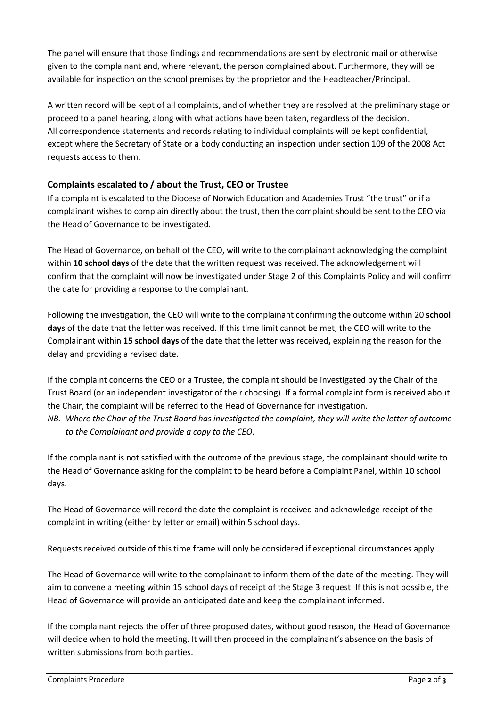The panel will ensure that those findings and recommendations are sent by electronic mail or otherwise given to the complainant and, where relevant, the person complained about. Furthermore, they will be available for inspection on the school premises by the proprietor and the Headteacher/Principal.

A written record will be kept of all complaints, and of whether they are resolved at the preliminary stage or proceed to a panel hearing, along with what actions have been taken, regardless of the decision. All correspondence statements and records relating to individual complaints will be kept confidential, except where the Secretary of State or a body conducting an inspection under section 109 of the 2008 Act requests access to them.

# **Complaints escalated to / about the Trust, CEO or Trustee**

If a complaint is escalated to the Diocese of Norwich Education and Academies Trust "the trust" or if a complainant wishes to complain directly about the trust, then the complaint should be sent to the CEO via the Head of Governance to be investigated.

The Head of Governance, on behalf of the CEO, will write to the complainant acknowledging the complaint within **10 school days** of the date that the written request was received. The acknowledgement will confirm that the complaint will now be investigated under Stage 2 of this Complaints Policy and will confirm the date for providing a response to the complainant.

Following the investigation, the CEO will write to the complainant confirming the outcome within 20 **school days** of the date that the letter was received. If this time limit cannot be met, the CEO will write to the Complainant within **15 school days** of the date that the letter was received**,** explaining the reason for the delay and providing a revised date.

If the complaint concerns the CEO or a Trustee, the complaint should be investigated by the Chair of the Trust Board (or an independent investigator of their choosing). If a formal complaint form is received about the Chair, the complaint will be referred to the Head of Governance for investigation. *NB. Where the Chair of the Trust Board has investigated the complaint, they will write the letter of outcome to the Complainant and provide a copy to the CEO.* 

If the complainant is not satisfied with the outcome of the previous stage, the complainant should write to the Head of Governance asking for the complaint to be heard before a Complaint Panel, within 10 school days.

The Head of Governance will record the date the complaint is received and acknowledge receipt of the complaint in writing (either by letter or email) within 5 school days.

Requests received outside of this time frame will only be considered if exceptional circumstances apply.

The Head of Governance will write to the complainant to inform them of the date of the meeting. They will aim to convene a meeting within 15 school days of receipt of the Stage 3 request. If this is not possible, the Head of Governance will provide an anticipated date and keep the complainant informed.

If the complainant rejects the offer of three proposed dates, without good reason, the Head of Governance will decide when to hold the meeting. It will then proceed in the complainant's absence on the basis of written submissions from both parties.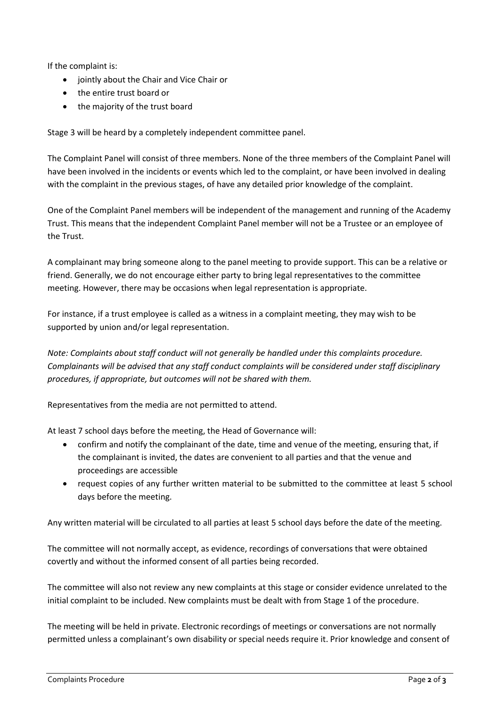If the complaint is:

- jointly about the Chair and Vice Chair or
- the entire trust board or
- the majority of the trust board

Stage 3 will be heard by a completely independent committee panel.

The Complaint Panel will consist of three members. None of the three members of the Complaint Panel will have been involved in the incidents or events which led to the complaint, or have been involved in dealing with the complaint in the previous stages, of have any detailed prior knowledge of the complaint.

One of the Complaint Panel members will be independent of the management and running of the Academy Trust. This means that the independent Complaint Panel member will not be a Trustee or an employee of the Trust.

A complainant may bring someone along to the panel meeting to provide support. This can be a relative or friend. Generally, we do not encourage either party to bring legal representatives to the committee meeting. However, there may be occasions when legal representation is appropriate.

For instance, if a trust employee is called as a witness in a complaint meeting, they may wish to be supported by union and/or legal representation.

*Note: Complaints about staff conduct will not generally be handled under this complaints procedure. Complainants will be advised that any staff conduct complaints will be considered under staff disciplinary procedures, if appropriate, but outcomes will not be shared with them.* 

Representatives from the media are not permitted to attend.

At least 7 school days before the meeting, the Head of Governance will:

- confirm and notify the complainant of the date, time and venue of the meeting, ensuring that, if the complainant is invited, the dates are convenient to all parties and that the venue and proceedings are accessible
- request copies of any further written material to be submitted to the committee at least 5 school days before the meeting.

Any written material will be circulated to all parties at least 5 school days before the date of the meeting.

The committee will not normally accept, as evidence, recordings of conversations that were obtained covertly and without the informed consent of all parties being recorded.

The committee will also not review any new complaints at this stage or consider evidence unrelated to the initial complaint to be included. New complaints must be dealt with from Stage 1 of the procedure.

The meeting will be held in private. Electronic recordings of meetings or conversations are not normally permitted unless a complainant's own disability or special needs require it. Prior knowledge and consent of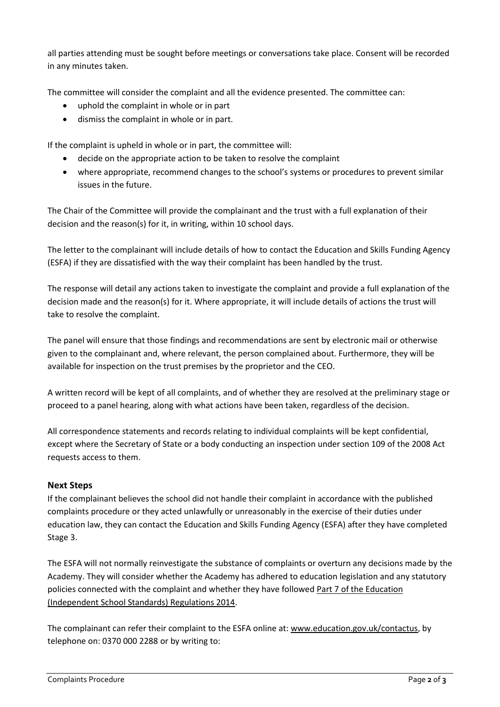all parties attending must be sought before meetings or conversations take place. Consent will be recorded in any minutes taken.

The committee will consider the complaint and all the evidence presented. The committee can:

- uphold the complaint in whole or in part
- dismiss the complaint in whole or in part.

If the complaint is upheld in whole or in part, the committee will:

- decide on the appropriate action to be taken to resolve the complaint
- where appropriate, recommend changes to the school's systems or procedures to prevent similar issues in the future.

The Chair of the Committee will provide the complainant and the trust with a full explanation of their decision and the reason(s) for it, in writing, within 10 school days.

The letter to the complainant will include details of how to contact the Education and Skills Funding Agency (ESFA) if they are dissatisfied with the way their complaint has been handled by the trust.

The response will detail any actions taken to investigate the complaint and provide a full explanation of the decision made and the reason(s) for it. Where appropriate, it will include details of actions the trust will take to resolve the complaint.

The panel will ensure that those findings and recommendations are sent by electronic mail or otherwise given to the complainant and, where relevant, the person complained about. Furthermore, they will be available for inspection on the trust premises by the proprietor and the CEO.

A written record will be kept of all complaints, and of whether they are resolved at the preliminary stage or proceed to a panel hearing, along with what actions have been taken, regardless of the decision.

All correspondence statements and records relating to individual complaints will be kept confidential, except where the Secretary of State or a body conducting an inspection under section 109 of the 2008 Act requests access to them.

#### **Next Steps**

If the complainant believes the school did not handle their complaint in accordance with the published complaints procedure or they acted unlawfully or unreasonably in the exercise of their duties under education law, they can contact the Education and Skills Funding Agency (ESFA) after they have completed Stage 3.

The ESFA will not normally reinvestigate the substance of complaints or overturn any decisions made by the Academy. They will consider whether the Academy has adhered to education legislation and any statutory policies connected with the complaint and whether they have followed [Part 7 of the Education](about:blank)  [\(Independent School Standards\) Regulations 2014.](about:blank)

The complainant can refer their complaint to the ESFA online at: [www.education.gov.uk/contactus,](about:blank) by telephone on: 0370 000 2288 or by writing to: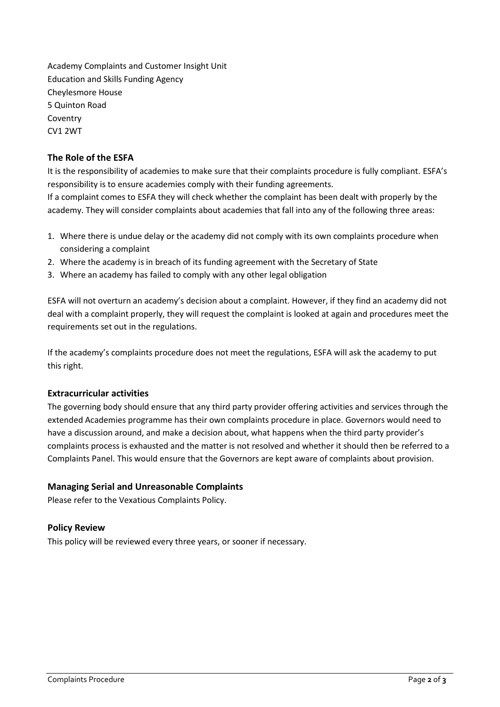Academy Complaints and Customer Insight Unit Education and Skills Funding Agency Cheylesmore House 5 Quinton Road Coventry CV1 2WT

#### **The Role of the ESFA**

It is the responsibility of academies to make sure that their complaints procedure is fully compliant. ESFA's responsibility is to ensure academies comply with their funding agreements.

If a complaint comes to ESFA they will check whether the complaint has been dealt with properly by the academy. They will consider complaints about academies that fall into any of the following three areas:

- 1. Where there is undue delay or the academy did not comply with its own complaints procedure when considering a complaint
- 2. Where the academy is in breach of its funding agreement with the Secretary of State
- 3. Where an academy has failed to comply with any other legal obligation

ESFA will not overturn an academy's decision about a complaint. However, if they find an academy did not deal with a complaint properly, they will request the complaint is looked at again and procedures meet the requirements set out in the regulations.

If the academy's complaints procedure does not meet the regulations, ESFA will ask the academy to put this right.

#### **Extracurricular activities**

The governing body should ensure that any third party provider offering activities and services through the extended Academies programme has their own complaints procedure in place. Governors would need to have a discussion around, and make a decision about, what happens when the third party provider's complaints process is exhausted and the matter is not resolved and whether it should then be referred to a Complaints Panel. This would ensure that the Governors are kept aware of complaints about provision.

#### **Managing Serial and Unreasonable Complaints**

Please refer to the Vexatious Complaints Policy.

#### **Policy Review**

This policy will be reviewed every three years, or sooner if necessary.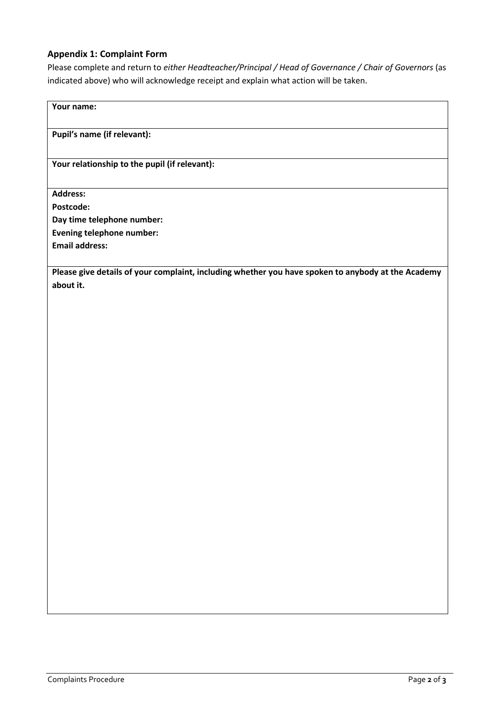#### **Appendix 1: Complaint Form**

Please complete and return to *either Headteacher/Principal / Head of Governance / Chair of Governors* (as indicated above) who will acknowledge receipt and explain what action will be taken.

# **Your name: Pupil's name (if relevant): Your relationship to the pupil (if relevant): Address: Postcode: Day time telephone number: Evening telephone number: Email address: Please give details of your complaint, including whether you have spoken to anybody at the Academy about it.**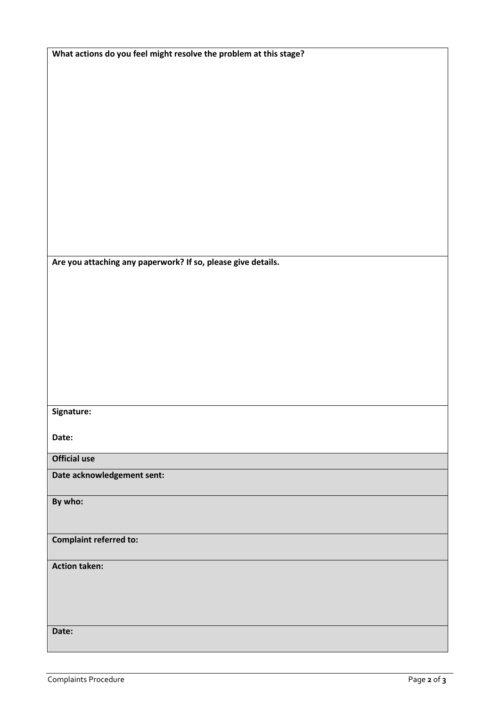| What actions do you feel might resolve the problem at this stage? |
|-------------------------------------------------------------------|
|                                                                   |
|                                                                   |
|                                                                   |
|                                                                   |
|                                                                   |
|                                                                   |
|                                                                   |
|                                                                   |
|                                                                   |
|                                                                   |
|                                                                   |
|                                                                   |
|                                                                   |
|                                                                   |
|                                                                   |
|                                                                   |
| Are you attaching any paperwork? If so, please give details.      |
|                                                                   |
|                                                                   |
|                                                                   |
|                                                                   |
|                                                                   |
|                                                                   |
|                                                                   |
|                                                                   |
|                                                                   |
|                                                                   |
|                                                                   |
| Signature:                                                        |
|                                                                   |
| Date:                                                             |
| <b>Official use</b>                                               |
|                                                                   |
| Date acknowledgement sent:                                        |
|                                                                   |
| By who:                                                           |
|                                                                   |
|                                                                   |
| <b>Complaint referred to:</b>                                     |
|                                                                   |
| <b>Action taken:</b>                                              |
|                                                                   |
|                                                                   |
|                                                                   |
|                                                                   |
| Date:                                                             |
|                                                                   |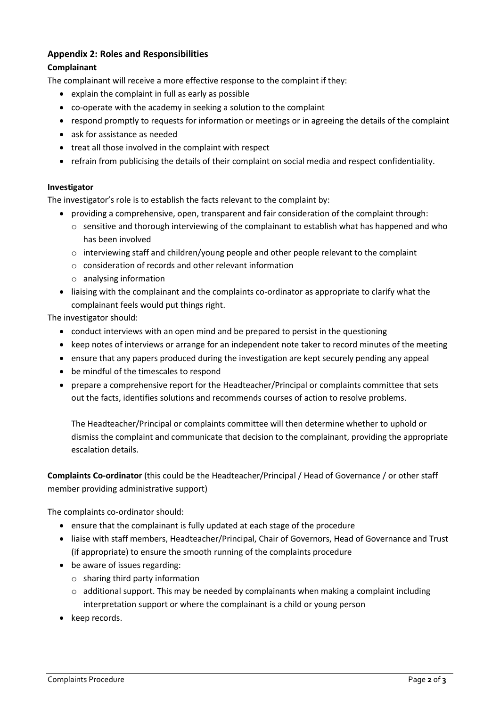# **Appendix 2: Roles and Responsibilities**

#### **Complainant**

The complainant will receive a more effective response to the complaint if they:

- explain the complaint in full as early as possible
- co-operate with the academy in seeking a solution to the complaint
- respond promptly to requests for information or meetings or in agreeing the details of the complaint
- ask for assistance as needed
- treat all those involved in the complaint with respect
- refrain from publicising the details of their complaint on social media and respect confidentiality.

#### **Investigator**

The investigator's role is to establish the facts relevant to the complaint by:

- providing a comprehensive, open, transparent and fair consideration of the complaint through:
	- $\circ$  sensitive and thorough interviewing of the complainant to establish what has happened and who has been involved
	- o interviewing staff and children/young people and other people relevant to the complaint
	- $\circ$  consideration of records and other relevant information
	- o analysing information
- liaising with the complainant and the complaints co-ordinator as appropriate to clarify what the complainant feels would put things right.

The investigator should:

- conduct interviews with an open mind and be prepared to persist in the questioning
- keep notes of interviews or arrange for an independent note taker to record minutes of the meeting
- ensure that any papers produced during the investigation are kept securely pending any appeal
- be mindful of the timescales to respond
- prepare a comprehensive report for the Headteacher/Principal or complaints committee that sets out the facts, identifies solutions and recommends courses of action to resolve problems.

The Headteacher/Principal or complaints committee will then determine whether to uphold or dismiss the complaint and communicate that decision to the complainant, providing the appropriate escalation details.

**Complaints Co-ordinator** (this could be the Headteacher/Principal / Head of Governance / or other staff member providing administrative support)

The complaints co-ordinator should:

- ensure that the complainant is fully updated at each stage of the procedure
- liaise with staff members, Headteacher/Principal, Chair of Governors, Head of Governance and Trust (if appropriate) to ensure the smooth running of the complaints procedure
- be aware of issues regarding:
	- o sharing third party information
	- $\circ$  additional support. This may be needed by complainants when making a complaint including interpretation support or where the complainant is a child or young person
- keep records.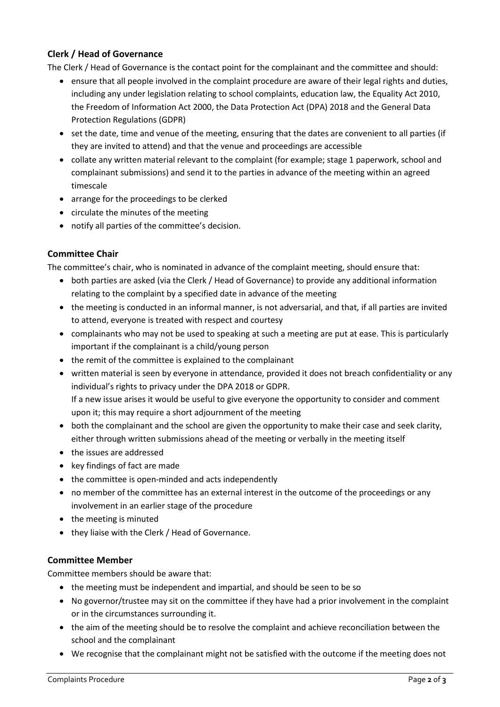# **Clerk / Head of Governance**

The Clerk / Head of Governance is the contact point for the complainant and the committee and should:

- ensure that all people involved in the complaint procedure are aware of their legal rights and duties, including any under legislation relating to school complaints, education law, the Equality Act 2010, the Freedom of Information Act 2000, the Data Protection Act (DPA) 2018 and the General Data Protection Regulations (GDPR)
- set the date, time and venue of the meeting, ensuring that the dates are convenient to all parties (if they are invited to attend) and that the venue and proceedings are accessible
- collate any written material relevant to the complaint (for example; stage 1 paperwork, school and complainant submissions) and send it to the parties in advance of the meeting within an agreed timescale
- arrange for the proceedings to be clerked
- circulate the minutes of the meeting
- notify all parties of the committee's decision.

#### **Committee Chair**

The committee's chair, who is nominated in advance of the complaint meeting, should ensure that:

- both parties are asked (via the Clerk / Head of Governance) to provide any additional information relating to the complaint by a specified date in advance of the meeting
- the meeting is conducted in an informal manner, is not adversarial, and that, if all parties are invited to attend, everyone is treated with respect and courtesy
- complainants who may not be used to speaking at such a meeting are put at ease. This is particularly important if the complainant is a child/young person
- the remit of the committee is explained to the complainant
- written material is seen by everyone in attendance, provided it does not breach confidentiality or any individual's rights to privacy under the DPA 2018 or GDPR. If a new issue arises it would be useful to give everyone the opportunity to consider and comment upon it; this may require a short adjournment of the meeting
- both the complainant and the school are given the opportunity to make their case and seek clarity, either through written submissions ahead of the meeting or verbally in the meeting itself
- the issues are addressed
- key findings of fact are made
- the committee is open-minded and acts independently
- no member of the committee has an external interest in the outcome of the proceedings or any involvement in an earlier stage of the procedure
- the meeting is minuted
- they liaise with the Clerk / Head of Governance.

#### **Committee Member**

Committee members should be aware that:

- the meeting must be independent and impartial, and should be seen to be so
- No governor/trustee may sit on the committee if they have had a prior involvement in the complaint or in the circumstances surrounding it.
- the aim of the meeting should be to resolve the complaint and achieve reconciliation between the school and the complainant
- We recognise that the complainant might not be satisfied with the outcome if the meeting does not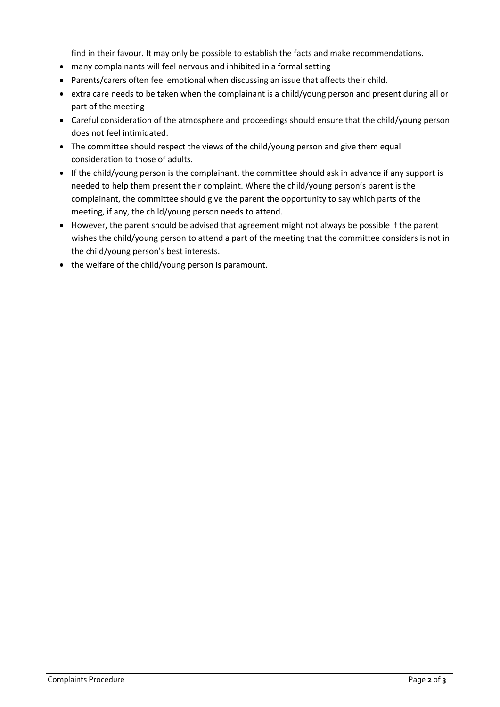find in their favour. It may only be possible to establish the facts and make recommendations.

- many complainants will feel nervous and inhibited in a formal setting
- Parents/carers often feel emotional when discussing an issue that affects their child.
- extra care needs to be taken when the complainant is a child/young person and present during all or part of the meeting
- Careful consideration of the atmosphere and proceedings should ensure that the child/young person does not feel intimidated.
- The committee should respect the views of the child/young person and give them equal consideration to those of adults.
- If the child/young person is the complainant, the committee should ask in advance if any support is needed to help them present their complaint. Where the child/young person's parent is the complainant, the committee should give the parent the opportunity to say which parts of the meeting, if any, the child/young person needs to attend.
- However, the parent should be advised that agreement might not always be possible if the parent wishes the child/young person to attend a part of the meeting that the committee considers is not in the child/young person's best interests.
- the welfare of the child/young person is paramount.